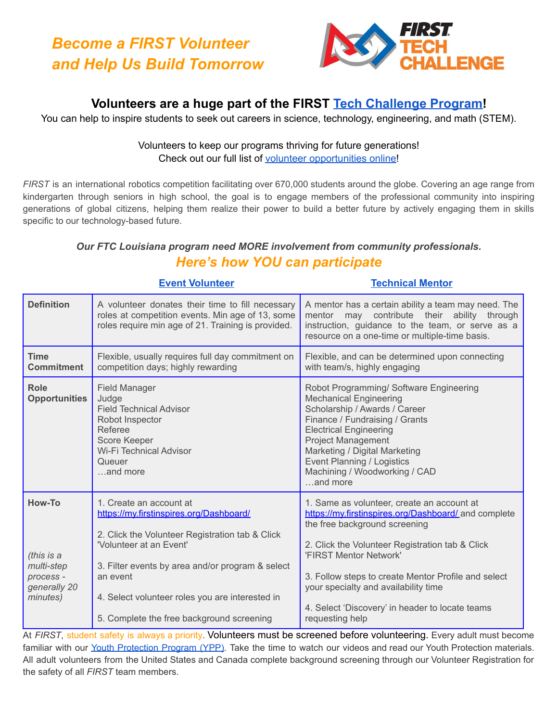

## **Volunteers are a huge part of the FIRST Tech [Challenge](https://www.firstinspires.org/robotics/ftc) Program!**

You can help to inspire students to seek out careers in science, technology, engineering, and math (STEM).

#### Volunteers to keep our programs thriving for future generations! Check out our full list of volunteer [opportunities](https://www.firstinspires.org/node/5146) online!

*FIRST* is an international robotics competition facilitating over 670,000 students around the globe. Covering an age range from kindergarten through seniors in high school, the goal is to engage members of the professional community into inspiring generations of global citizens, helping them realize their power to build a better future by actively engaging them in skills specific to our technology-based future.

### *Our FTC Louisiana program need MORE involvement from community professionals. Here's how YOU can participate*

|                                                                             | <b>Event Volunteer</b>                                                                                                                                                                                                                                                                                           | <b>Technical Mentor</b>                                                                                                                                                                                                                                                                                                                                                               |
|-----------------------------------------------------------------------------|------------------------------------------------------------------------------------------------------------------------------------------------------------------------------------------------------------------------------------------------------------------------------------------------------------------|---------------------------------------------------------------------------------------------------------------------------------------------------------------------------------------------------------------------------------------------------------------------------------------------------------------------------------------------------------------------------------------|
| <b>Definition</b>                                                           | A volunteer donates their time to fill necessary<br>roles at competition events. Min age of 13, some<br>roles require min age of 21. Training is provided.                                                                                                                                                       | A mentor has a certain ability a team may need. The<br>may contribute their ability through<br>mentor<br>instruction, guidance to the team, or serve as a<br>resource on a one-time or multiple-time basis.                                                                                                                                                                           |
| <b>Time</b><br><b>Commitment</b>                                            | Flexible, usually requires full day commitment on<br>competition days; highly rewarding                                                                                                                                                                                                                          | Flexible, and can be determined upon connecting<br>with team/s, highly engaging                                                                                                                                                                                                                                                                                                       |
| Role<br><b>Opportunities</b>                                                | <b>Field Manager</b><br>Judge<br><b>Field Technical Advisor</b><br>Robot Inspector<br>Referee<br><b>Score Keeper</b><br>Wi-Fi Technical Advisor<br>Queuer<br>and more                                                                                                                                            | Robot Programming/ Software Engineering<br><b>Mechanical Engineering</b><br>Scholarship / Awards / Career<br>Finance / Fundraising / Grants<br><b>Electrical Engineering</b><br><b>Project Management</b><br>Marketing / Digital Marketing<br>Event Planning / Logistics<br>Machining / Woodworking / CAD<br>and more                                                                 |
| How-To<br>(this is a<br>multi-step<br>process -<br>generally 20<br>minutes) | 1. Create an account at<br>https://my.firstinspires.org/Dashboard/<br>2. Click the Volunteer Registration tab & Click<br>'Volunteer at an Event'<br>3. Filter events by area and/or program & select<br>an event<br>4. Select volunteer roles you are interested in<br>5. Complete the free background screening | 1. Same as volunteer, create an account at<br>https://my.firstinspires.org/Dashboard/_and complete<br>the free background screening<br>2. Click the Volunteer Registration tab & Click<br>'FIRST Mentor Network'<br>3. Follow steps to create Mentor Profile and select<br>your specialty and availability time<br>4. Select 'Discovery' in header to locate teams<br>requesting help |

At *FIRST*, student safety is always a priority. Volunteers must be screened before volunteering. Every adult must become familiar with our Youth [Protection](https://www.firstinspires.org/resource-library/youth-protection-policy) Program (YPP). Take the time to watch our videos and read our Youth Protection materials. All adult volunteers from the United States and Canada complete background screening through our Volunteer Registration for the safety of all *FIRST* team members.